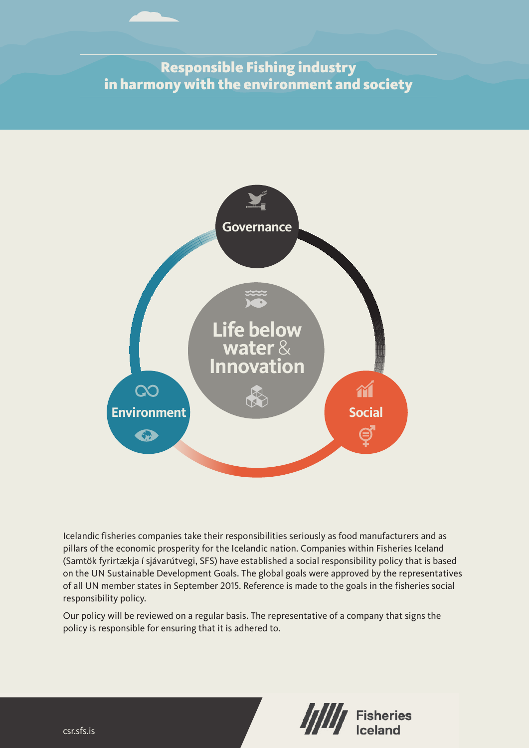# Responsible Fishing industry in harmony with the environment and society



Icelandic fisheries companies take their responsibilities seriously as food manufacturers and as pillars of the economic prosperity for the Icelandic nation. Companies within Fisheries Iceland (Samtök fyrirtækja í sjávarútvegi, SFS) have established a social responsibility policy that is based on the UN Sustainable Development Goals. The global goals were approved by the representatives of all UN member states in September 2015. Reference is made to the goals in the fisheries social responsibility policy.

Our policy will be reviewed on a regular basis. The representative of a company that signs the policy is responsible for ensuring that it is adhered to.

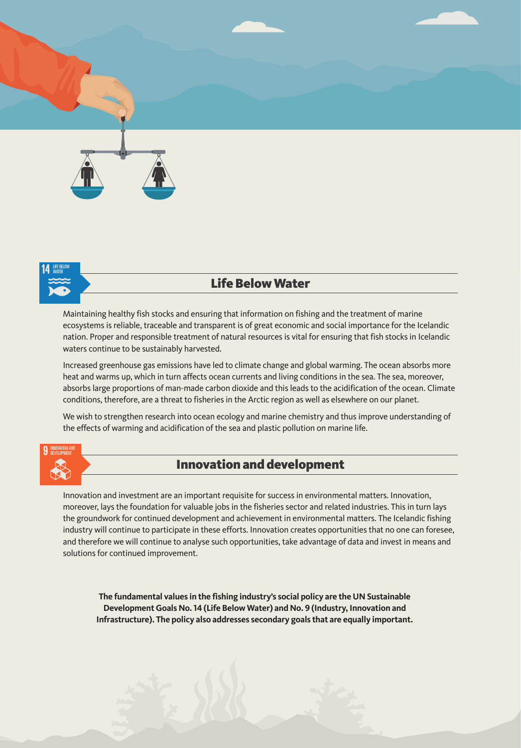



# Life Below Water

Maintaining healthy fish stocks and ensuring that information on fishing and the treatment of marine ecosystems is reliable, traceable and transparent is of great economic and social importance for the Icelandic nation. Proper and responsible treatment of natural resources is vital for ensuring that fish stocks in Icelandic waters continue to be sustainably harvested.

Increased greenhouse gas emissions have led to climate change and global warming. The ocean absorbs more heat and warms up, which in turn affects ocean currents and living conditions in the sea. The sea, moreover, absorbs large proportions of man-made carbon dioxide and this leads to the acidification of the ocean. Climate conditions, therefore, are a threat to fisheries in the Arctic region as well as elsewhere on our planet.

We wish to strengthen research into ocean ecology and marine chemistry and thus improve understanding of the effects of warming and acidification of the sea and plastic pollution on marine life.



## Innovation and development

Innovation and investment are an important requisite for success in environmental matters. Innovation, moreover, lays the foundation for valuable jobs in the fisheries sector and related industries. This in turn lays the groundwork for continued development and achievement in environmental matters. The Icelandic fishing industry will continue to participate in these efforts. Innovation creates opportunities that no one can foresee, and therefore we will continue to analyse such opportunities, take advantage of data and invest in means and solutions for continued improvement.

**The fundamental values in the fishing industry's social policy are the UN Sustainable Development Goals No. 14 (Life Below Water) and No. 9 (Industry, Innovation and Infrastructure). The policy also addresses secondary goals that are equally important.**

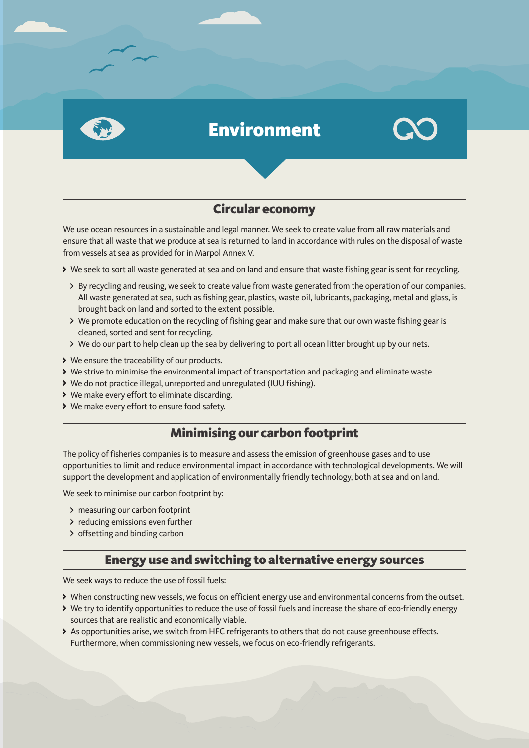

# Environment



# Circular economy

We use ocean resources in a sustainable and legal manner. We seek to create value from all raw materials and ensure that all waste that we produce at sea is returned to land in accordance with rules on the disposal of waste from vessels at sea as provided for in Marpol Annex V.

- We seek to sort all waste generated at sea and on land and ensure that waste fishing gear is sent for recycling.
	- > By recycling and reusing, we seek to create value from waste generated from the operation of our companies. All waste generated at sea, such as fishing gear, plastics, waste oil, lubricants, packaging, metal and glass, is brought back on land and sorted to the extent possible.
	- We promote education on the recycling of fishing gear and make sure that our own waste fishing gear is cleaned, sorted and sent for recycling.
	- We do our part to help clean up the sea by delivering to port all ocean litter brought up by our nets.
- We ensure the traceability of our products.
- We strive to minimise the environmental impact of transportation and packaging and eliminate waste.
- We do not practice illegal, unreported and unregulated (IUU fishing).
- We make every effort to eliminate discarding.
- We make every effort to ensure food safety.

## Minimising our carbon footprint

The policy of fisheries companies is to measure and assess the emission of greenhouse gases and to use opportunities to limit and reduce environmental impact in accordance with technological developments. We will support the development and application of environmentally friendly technology, both at sea and on land.

We seek to minimise our carbon footprint by:

- > measuring our carbon footprint
- > reducing emissions even further
- > offsetting and binding carbon

#### Energy use and switching to alternative energy sources

We seek ways to reduce the use of fossil fuels:

- When constructing new vessels, we focus on efficient energy use and environmental concerns from the outset.
- We try to identify opportunities to reduce the use of fossil fuels and increase the share of eco-friendly energy sources that are realistic and economically viable.
- As opportunities arise, we switch from HFC refrigerants to others that do not cause greenhouse effects. Furthermore, when commissioning new vessels, we focus on eco-friendly refrigerants.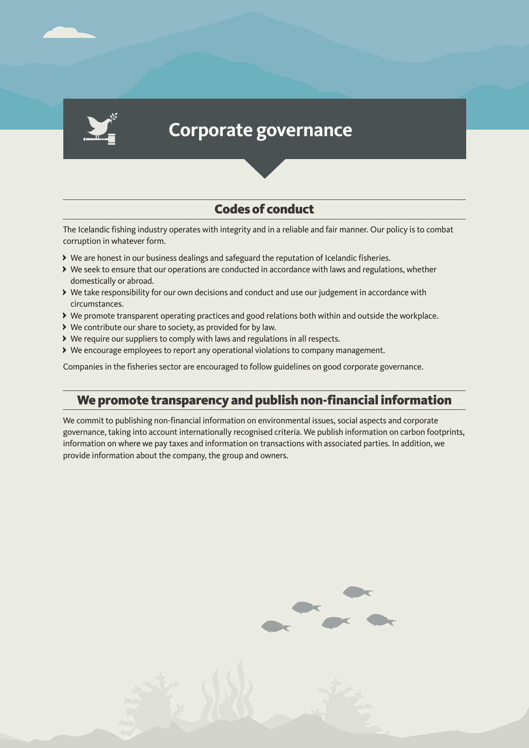

# **Corporate governance**

# Codes of conduct

The Icelandic fishing industry operates with integrity and in a reliable and fair manner. Our policy is to combat corruption in whatever form.

- We are honest in our business dealings and safeguard the reputation of Icelandic fisheries.
- We seek to ensure that our operations are conducted in accordance with laws and regulations, whether domestically or abroad.
- We take responsibility for our own decisions and conduct and use our judgement in accordance with circumstances.
- We promote transparent operating practices and good relations both within and outside the workplace.
- We contribute our share to society, as provided for by law.
- We require our suppliers to comply with laws and regulations in all respects.
- We encourage employees to report any operational violations to company management.

Companies in the fisheries sector are encouraged to follow guidelines on good corporate governance.

#### We promote transparency and publish non-financial information

We commit to publishing non-financial information on environmental issues, social aspects and corporate governance, taking into account internationally recognised criteria. We publish information on carbon footprints, information on where we pay taxes and information on transactions with associated parties. In addition, we provide information about the company, the group and owners.



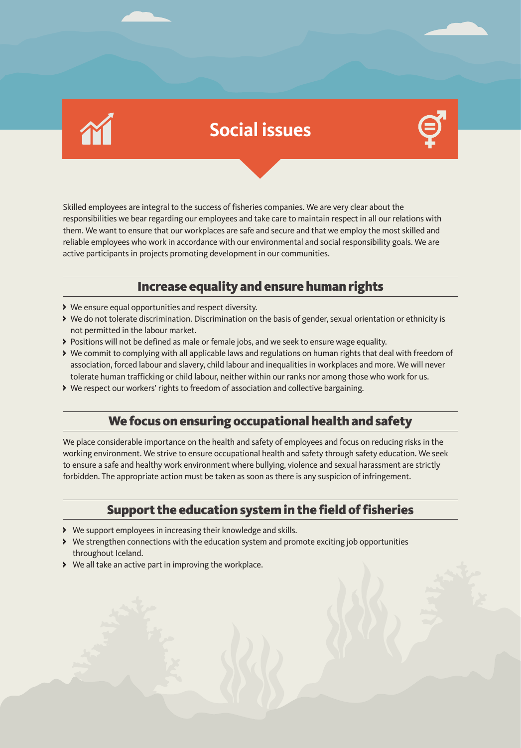# **Social issues**



Skilled employees are integral to the success of fisheries companies. We are very clear about the responsibilities we bear regarding our employees and take care to maintain respect in all our relations with them. We want to ensure that our workplaces are safe and secure and that we employ the most skilled and reliable employees who work in accordance with our environmental and social responsibility goals. We are active participants in projects promoting development in our communities.

## Increase equality and ensure human rights

- We ensure equal opportunities and respect diversity.
- We do not tolerate discrimination. Discrimination on the basis of gender, sexual orientation or ethnicity is not permitted in the labour market.
- Positions will not be defined as male or female jobs, and we seek to ensure wage equality.
- We commit to complying with all applicable laws and regulations on human rights that deal with freedom of association, forced labour and slavery, child labour and inequalities in workplaces and more. We will never tolerate human trafficking or child labour, neither within our ranks nor among those who work for us.
- We respect our workers' rights to freedom of association and collective bargaining.

# We focus on ensuring occupational health and safety

We place considerable importance on the health and safety of employees and focus on reducing risks in the working environment. We strive to ensure occupational health and safety through safety education. We seek to ensure a safe and healthy work environment where bullying, violence and sexual harassment are strictly forbidden. The appropriate action must be taken as soon as there is any suspicion of infringement.

## Support the education system in the field of fisheries

- We support employees in increasing their knowledge and skills.
- We strengthen connections with the education system and promote exciting job opportunities throughout Iceland.
- We all take an active part in improving the workplace.